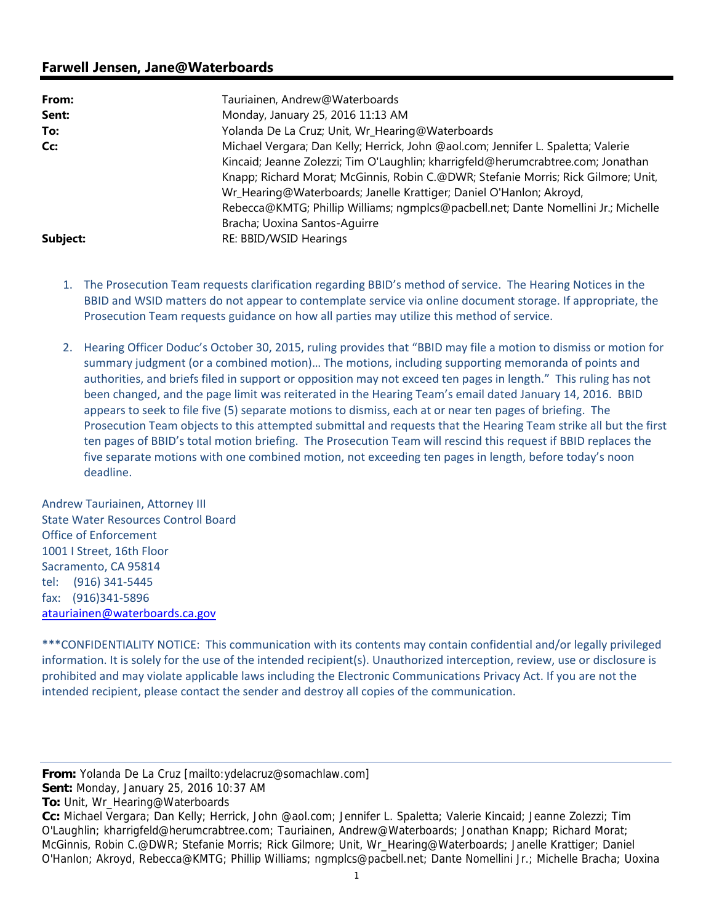## **Farwell Jensen, Jane@Waterboards**

| From:    | Tauriainen, Andrew@Waterboards                                                                                                                                                                                                                                                                                                                                                                                                                            |
|----------|-----------------------------------------------------------------------------------------------------------------------------------------------------------------------------------------------------------------------------------------------------------------------------------------------------------------------------------------------------------------------------------------------------------------------------------------------------------|
| Sent:    | Monday, January 25, 2016 11:13 AM                                                                                                                                                                                                                                                                                                                                                                                                                         |
| To:      | Yolanda De La Cruz; Unit, Wr_Hearing@Waterboards                                                                                                                                                                                                                                                                                                                                                                                                          |
| Cc:      | Michael Vergara; Dan Kelly; Herrick, John @aol.com; Jennifer L. Spaletta; Valerie<br>Kincaid; Jeanne Zolezzi; Tim O'Laughlin; kharrigfeld@herumcrabtree.com; Jonathan<br>Knapp; Richard Morat; McGinnis, Robin C.@DWR; Stefanie Morris; Rick Gilmore; Unit,<br>Wr_Hearing@Waterboards; Janelle Krattiger; Daniel O'Hanlon; Akroyd,<br>Rebecca@KMTG; Phillip Williams; ngmplcs@pacbell.net; Dante Nomellini Jr.; Michelle<br>Bracha; Uoxina Santos-Aquirre |
| Subject: | RE: BBID/WSID Hearings                                                                                                                                                                                                                                                                                                                                                                                                                                    |

- 1. The Prosecution Team requests clarification regarding BBID's method of service. The Hearing Notices in the BBID and WSID matters do not appear to contemplate service via online document storage. If appropriate, the Prosecution Team requests guidance on how all parties may utilize this method of service.
- 2. Hearing Officer Doduc's October 30, 2015, ruling provides that "BBID may file a motion to dismiss or motion for summary judgment (or a combined motion)… The motions, including supporting memoranda of points and authorities, and briefs filed in support or opposition may not exceed ten pages in length." This ruling has not been changed, and the page limit was reiterated in the Hearing Team's email dated January 14, 2016. BBID appears to seek to file five (5) separate motions to dismiss, each at or near ten pages of briefing. The Prosecution Team objects to this attempted submittal and requests that the Hearing Team strike all but the first ten pages of BBID's total motion briefing. The Prosecution Team will rescind this request if BBID replaces the five separate motions with one combined motion, not exceeding ten pages in length, before today's noon deadline.

Andrew Tauriainen, Attorney III State Water Resources Control Board Office of Enforcement 1001 I Street, 16th Floor Sacramento, CA 95814 tel: (916) 341‐5445 fax: (916)341‐5896 atauriainen@waterboards.ca.gov

\*\*\*CONFIDENTIALITY NOTICE: This communication with its contents may contain confidential and/or legally privileged information. It is solely for the use of the intended recipient(s). Unauthorized interception, review, use or disclosure is prohibited and may violate applicable laws including the Electronic Communications Privacy Act. If you are not the intended recipient, please contact the sender and destroy all copies of the communication.

**From:** Yolanda De La Cruz [mailto:ydelacruz@somachlaw.com]

**Sent:** Monday, January 25, 2016 10:37 AM

**To:** Unit, Wr\_Hearing@Waterboards

**Cc:** Michael Vergara; Dan Kelly; Herrick, John @aol.com; Jennifer L. Spaletta; Valerie Kincaid; Jeanne Zolezzi; Tim O'Laughlin; kharrigfeld@herumcrabtree.com; Tauriainen, Andrew@Waterboards; Jonathan Knapp; Richard Morat; McGinnis, Robin C.@DWR; Stefanie Morris; Rick Gilmore; Unit, Wr\_Hearing@Waterboards; Janelle Krattiger; Daniel O'Hanlon; Akroyd, Rebecca@KMTG; Phillip Williams; ngmplcs@pacbell.net; Dante Nomellini Jr.; Michelle Bracha; Uoxina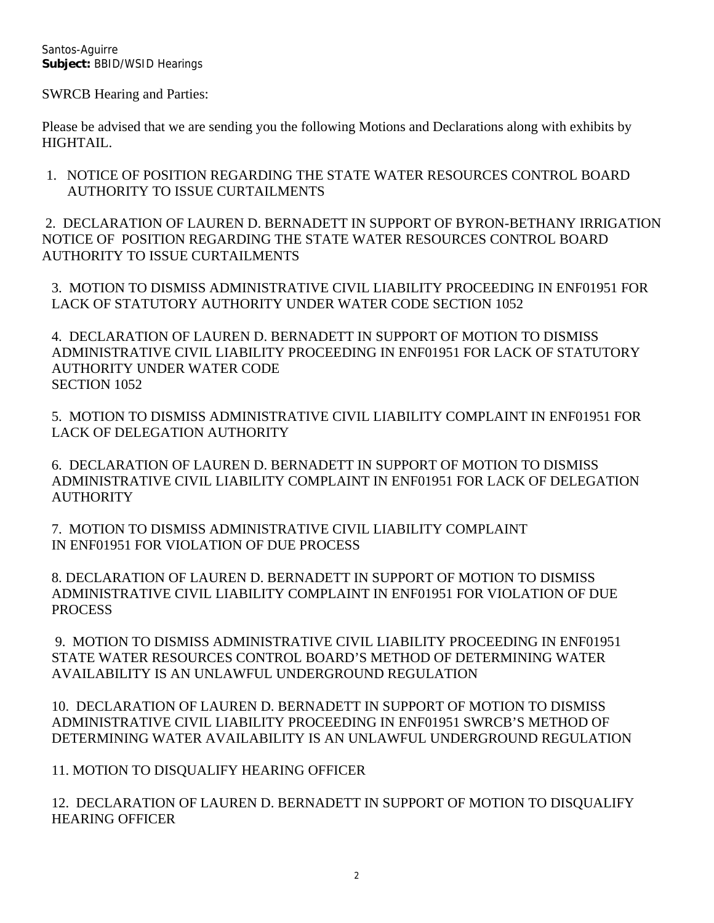Santos-Aguirre **Subject:** BBID/WSID Hearings

SWRCB Hearing and Parties:

Please be advised that we are sending you the following Motions and Declarations along with exhibits by HIGHTAIL.

1. NOTICE OF POSITION REGARDING THE STATE WATER RESOURCES CONTROL BOARD AUTHORITY TO ISSUE CURTAILMENTS

 2. DECLARATION OF LAUREN D. BERNADETT IN SUPPORT OF BYRON-BETHANY IRRIGATION NOTICE OF POSITION REGARDING THE STATE WATER RESOURCES CONTROL BOARD AUTHORITY TO ISSUE CURTAILMENTS

3. MOTION TO DISMISS ADMINISTRATIVE CIVIL LIABILITY PROCEEDING IN ENF01951 FOR LACK OF STATUTORY AUTHORITY UNDER WATER CODE SECTION 1052

4. DECLARATION OF LAUREN D. BERNADETT IN SUPPORT OF MOTION TO DISMISS ADMINISTRATIVE CIVIL LIABILITY PROCEEDING IN ENF01951 FOR LACK OF STATUTORY AUTHORITY UNDER WATER CODE SECTION 1052

5. MOTION TO DISMISS ADMINISTRATIVE CIVIL LIABILITY COMPLAINT IN ENF01951 FOR LACK OF DELEGATION AUTHORITY

6. DECLARATION OF LAUREN D. BERNADETT IN SUPPORT OF MOTION TO DISMISS ADMINISTRATIVE CIVIL LIABILITY COMPLAINT IN ENF01951 FOR LACK OF DELEGATION **AUTHORITY** 

7. MOTION TO DISMISS ADMINISTRATIVE CIVIL LIABILITY COMPLAINT IN ENF01951 FOR VIOLATION OF DUE PROCESS

8. DECLARATION OF LAUREN D. BERNADETT IN SUPPORT OF MOTION TO DISMISS ADMINISTRATIVE CIVIL LIABILITY COMPLAINT IN ENF01951 FOR VIOLATION OF DUE PROCESS

 9. MOTION TO DISMISS ADMINISTRATIVE CIVIL LIABILITY PROCEEDING IN ENF01951 STATE WATER RESOURCES CONTROL BOARD'S METHOD OF DETERMINING WATER AVAILABILITY IS AN UNLAWFUL UNDERGROUND REGULATION

10. DECLARATION OF LAUREN D. BERNADETT IN SUPPORT OF MOTION TO DISMISS ADMINISTRATIVE CIVIL LIABILITY PROCEEDING IN ENF01951 SWRCB'S METHOD OF DETERMINING WATER AVAILABILITY IS AN UNLAWFUL UNDERGROUND REGULATION

11. MOTION TO DISQUALIFY HEARING OFFICER

12. DECLARATION OF LAUREN D. BERNADETT IN SUPPORT OF MOTION TO DISQUALIFY HEARING OFFICER